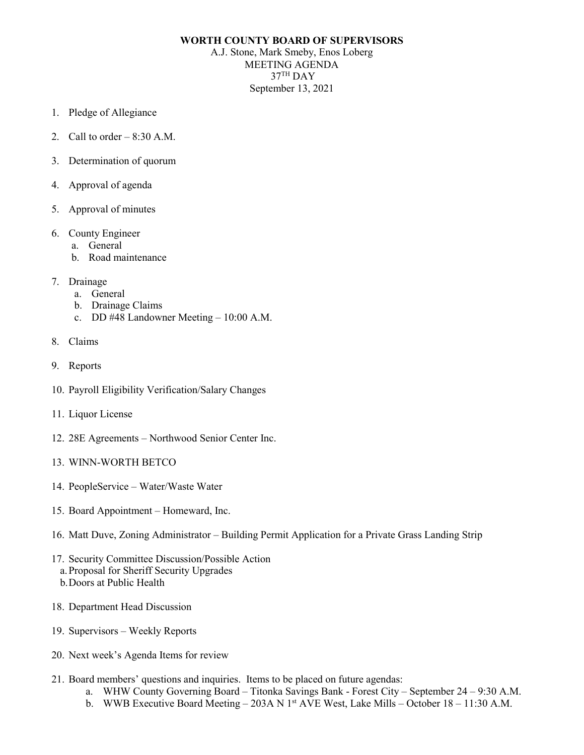## **WORTH COUNTY BOARD OF SUPERVISORS**

A.J. Stone, Mark Smeby, Enos Loberg MEETING AGENDA 37TH DAY September 13, 2021

- 1. Pledge of Allegiance
- 2. Call to order  $-8:30$  A.M.
- 3. Determination of quorum
- 4. Approval of agenda
- 5. Approval of minutes
- 6. County Engineer
	- a. General
	- b. Road maintenance
- 7. Drainage
	- a. General
	- b. Drainage Claims
	- c. DD #48 Landowner Meeting 10:00 A.M.
- 8. Claims
- 9. Reports
- 10. Payroll Eligibility Verification/Salary Changes
- 11. Liquor License
- 12. 28E Agreements Northwood Senior Center Inc.
- 13. WINN-WORTH BETCO
- 14. PeopleService Water/Waste Water
- 15. Board Appointment Homeward, Inc.
- 16. Matt Duve, Zoning Administrator Building Permit Application for a Private Grass Landing Strip
- 17. Security Committee Discussion/Possible Action
	- a.Proposal for Sheriff Security Upgrades
	- b.Doors at Public Health
- 18. Department Head Discussion
- 19. Supervisors Weekly Reports
- 20. Next week's Agenda Items for review
- 21. Board members' questions and inquiries. Items to be placed on future agendas:
	- a. WHW County Governing Board Titonka Savings Bank Forest City September 24 9:30 A.M.
	- b. WWB Executive Board Meeting 203A N  $1<sup>st</sup>$  AVE West, Lake Mills October 18 11:30 A.M.